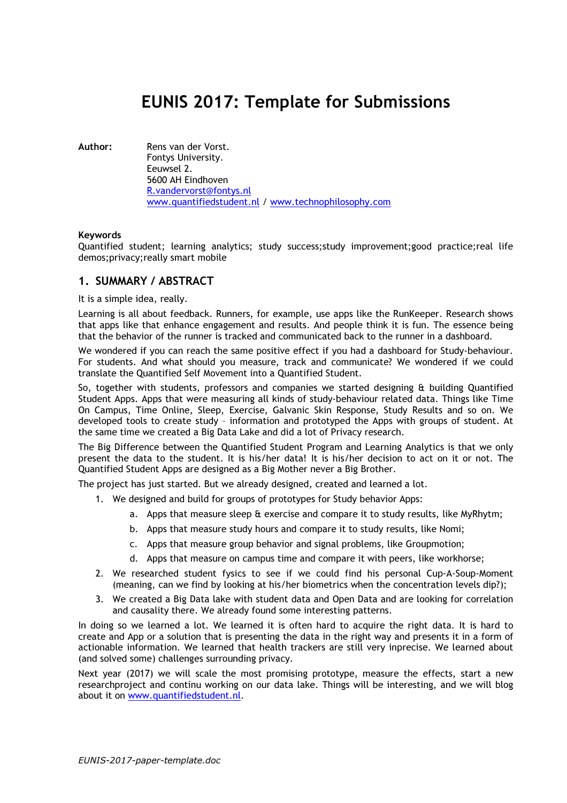# EUNIS 2017: Template for Submissions

Author: Rens van der Vorst. Fontys University. Eeuwsel 2. 5600 AH Eindhoven R.vandervorst@fontys.nl www.quantifiedstudent.nl / www.technophilosophy.com

#### Keywords

Quantified student; learning analytics; study success;study improvement;good practice;real life demos;privacy;really smart mobile

## 1. SUMMARY / ABSTRACT

It is a simple idea, really.

Learning is all about feedback. Runners, for example, use apps like the RunKeeper. Research shows that apps like that enhance engagement and results. And people think it is fun. The essence being that the behavior of the runner is tracked and communicated back to the runner in a dashboard.

We wondered if you can reach the same positive effect if you had a dashboard for Study-behaviour. For students. And what should you measure, track and communicate? We wondered if we could translate the Quantified Self Movement into a Quantified Student.

So, together with students, professors and companies we started designing & building Quantified Student Apps. Apps that were measuring all kinds of study-behaviour related data. Things like Time On Campus, Time Online, Sleep, Exercise, Galvanic Skin Response, Study Results and so on. We developed tools to create study – information and prototyped the Apps with groups of student. At the same time we created a Big Data Lake and did a lot of Privacy research.

The Big Difference between the Quantified Student Program and Learning Analytics is that we only present the data to the student. It is his/her data! It is his/her decision to act on it or not. The Quantified Student Apps are designed as a Big Mother never a Big Brother.

The project has just started. But we already designed, created and learned a lot.

- 1. We designed and build for groups of prototypes for Study behavior Apps:
	- a. Apps that measure sleep & exercise and compare it to study results, like MyRhytm;
	- b. Apps that measure study hours and compare it to study results, like Nomi;
	- c. Apps that measure group behavior and signal problems, like Groupmotion;
	- d. Apps that measure on campus time and compare it with peers, like workhorse;
- 2. We researched student fysics to see if we could find his personal Cup-A-Soup-Moment (meaning, can we find by looking at his/her biometrics when the concentration levels dip?);
- 3. We created a Big Data lake with student data and Open Data and are looking for correlation and causality there. We already found some interesting patterns.

In doing so we learned a lot. We learned it is often hard to acquire the right data. It is hard to create and App or a solution that is presenting the data in the right way and presents it in a form of actionable information. We learned that health trackers are still very inprecise. We learned about (and solved some) challenges surrounding privacy.

Next year (2017) we will scale the most promising prototype, measure the effects, start a new researchproject and continu working on our data lake. Things will be interesting, and we will blog about it on www.quantifiedstudent.nl.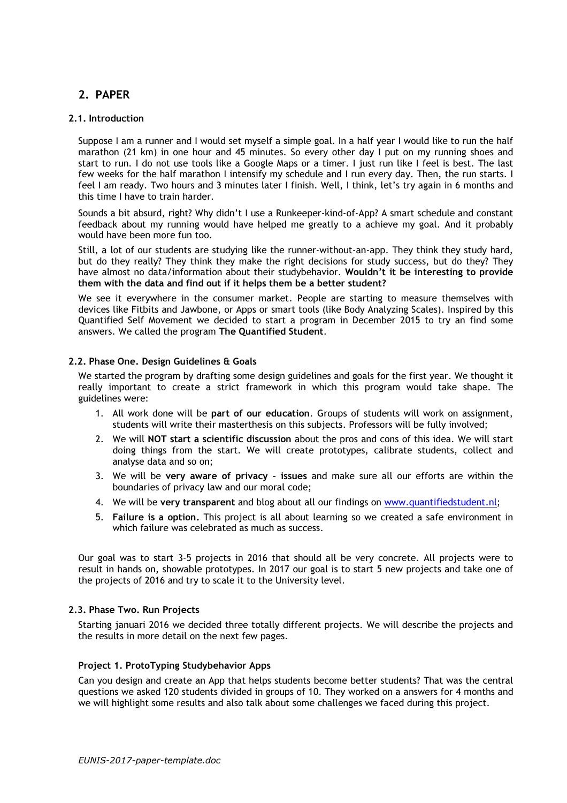# 2. PAPER

#### 2.1. Introduction

Suppose I am a runner and I would set myself a simple goal. In a half year I would like to run the half marathon (21 km) in one hour and 45 minutes. So every other day I put on my running shoes and start to run. I do not use tools like a Google Maps or a timer. I just run like I feel is best. The last few weeks for the half marathon I intensify my schedule and I run every day. Then, the run starts. I feel I am ready. Two hours and 3 minutes later I finish. Well, I think, let's try again in 6 months and this time I have to train harder.

Sounds a bit absurd, right? Why didn't I use a Runkeeper-kind-of-App? A smart schedule and constant feedback about my running would have helped me greatly to a achieve my goal. And it probably would have been more fun too.

Still, a lot of our students are studying like the runner-without-an-app. They think they study hard, but do they really? They think they make the right decisions for study success, but do they? They have almost no data/information about their studybehavior. Wouldn't it be interesting to provide them with the data and find out if it helps them be a better student?

We see it everywhere in the consumer market. People are starting to measure themselves with devices like Fitbits and Jawbone, or Apps or smart tools (like Body Analyzing Scales). Inspired by this Quantified Self Movement we decided to start a program in December 2015 to try an find some answers. We called the program The Quantified Student.

#### 2.2. Phase One. Design Guidelines & Goals

We started the program by drafting some design guidelines and goals for the first year. We thought it really important to create a strict framework in which this program would take shape. The guidelines were:

- 1. All work done will be part of our education. Groups of students will work on assignment, students will write their masterthesis on this subjects. Professors will be fully involved;
- 2. We will NOT start a scientific discussion about the pros and cons of this idea. We will start doing things from the start. We will create prototypes, calibrate students, collect and analyse data and so on;
- 3. We will be very aware of privacy issues and make sure all our efforts are within the boundaries of privacy law and our moral code;
- 4. We will be very transparent and blog about all our findings on www.quantifiedstudent.nl;
- 5. Failure is a option. This project is all about learning so we created a safe environment in which failure was celebrated as much as success.

Our goal was to start 3-5 projects in 2016 that should all be very concrete. All projects were to result in hands on, showable prototypes. In 2017 our goal is to start 5 new projects and take one of the projects of 2016 and try to scale it to the University level.

## 2.3. Phase Two. Run Projects

Starting januari 2016 we decided three totally different projects. We will describe the projects and the results in more detail on the next few pages.

#### Project 1. ProtoTyping Studybehavior Apps

Can you design and create an App that helps students become better students? That was the central questions we asked 120 students divided in groups of 10. They worked on a answers for 4 months and we will highlight some results and also talk about some challenges we faced during this project.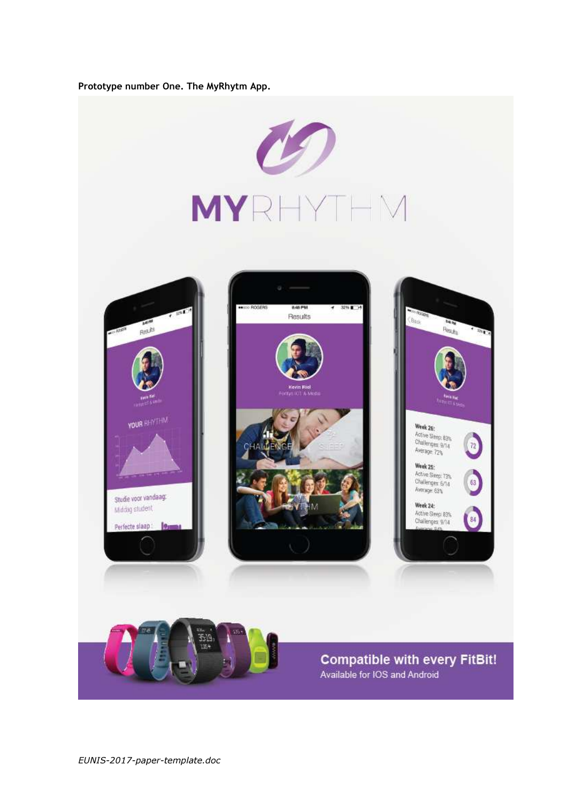## Prototype number One. The MyRhytm App.

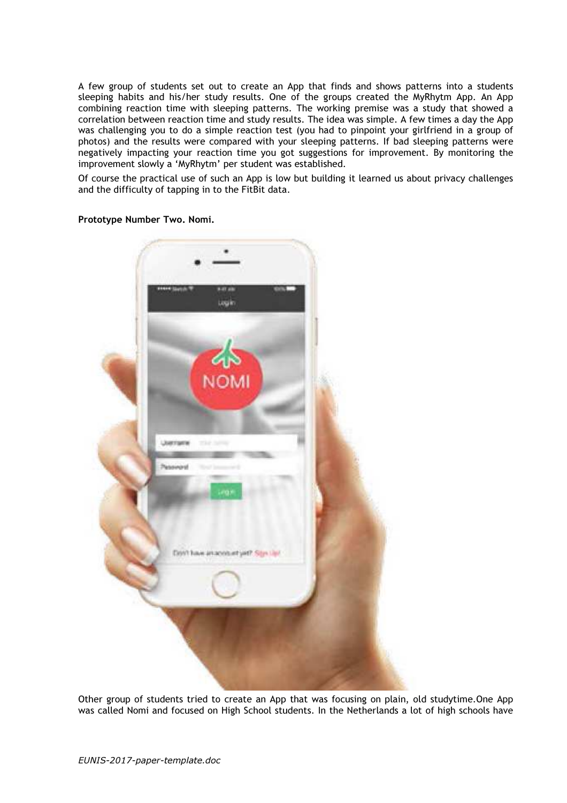A few group of students set out to create an App that finds and shows patterns into a students sleeping habits and his/her study results. One of the groups created the MyRhytm App. An App combining reaction time with sleeping patterns. The working premise was a study that showed a correlation between reaction time and study results. The idea was simple. A few times a day the App was challenging you to do a simple reaction test (you had to pinpoint your girlfriend in a group of photos) and the results were compared with your sleeping patterns. If bad sleeping patterns were negatively impacting your reaction time you got suggestions for improvement. By monitoring the improvement slowly a 'MyRhytm' per student was established.

Of course the practical use of such an App is low but building it learned us about privacy challenges and the difficulty of tapping in to the FitBit data.



Prototype Number Two. Nomi.

Other group of students tried to create an App that was focusing on plain, old studytime.One App was called Nomi and focused on High School students. In the Netherlands a lot of high schools have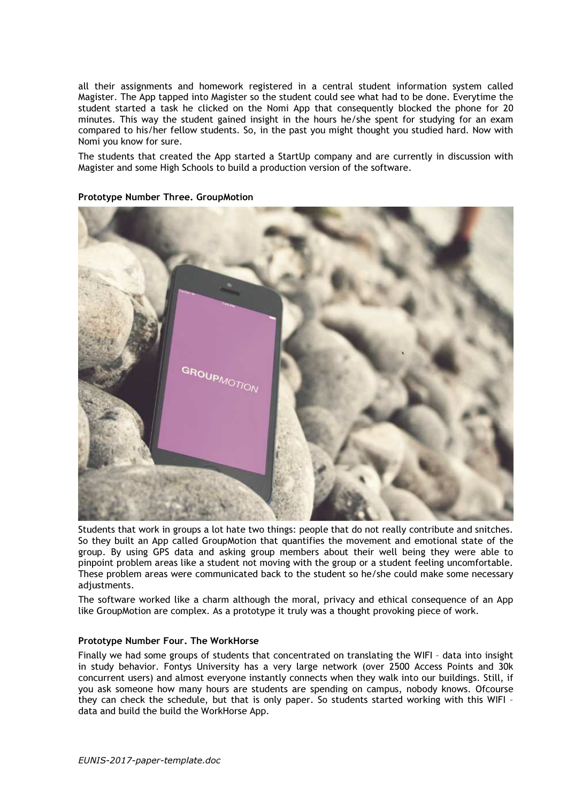all their assignments and homework registered in a central student information system called Magister. The App tapped into Magister so the student could see what had to be done. Everytime the student started a task he clicked on the Nomi App that consequently blocked the phone for 20 minutes. This way the student gained insight in the hours he/she spent for studying for an exam compared to his/her fellow students. So, in the past you might thought you studied hard. Now with Nomi you know for sure.

The students that created the App started a StartUp company and are currently in discussion with Magister and some High Schools to build a production version of the software.

#### Prototype Number Three. GroupMotion



Students that work in groups a lot hate two things: people that do not really contribute and snitches. So they built an App called GroupMotion that quantifies the movement and emotional state of the group. By using GPS data and asking group members about their well being they were able to pinpoint problem areas like a student not moving with the group or a student feeling uncomfortable. These problem areas were communicated back to the student so he/she could make some necessary adjustments.

The software worked like a charm although the moral, privacy and ethical consequence of an App like GroupMotion are complex. As a prototype it truly was a thought provoking piece of work.

#### Prototype Number Four. The WorkHorse

Finally we had some groups of students that concentrated on translating the WIFI – data into insight in study behavior. Fontys University has a very large network (over 2500 Access Points and 30k concurrent users) and almost everyone instantly connects when they walk into our buildings. Still, if you ask someone how many hours are students are spending on campus, nobody knows. Ofcourse they can check the schedule, but that is only paper. So students started working with this WIFI – data and build the build the WorkHorse App.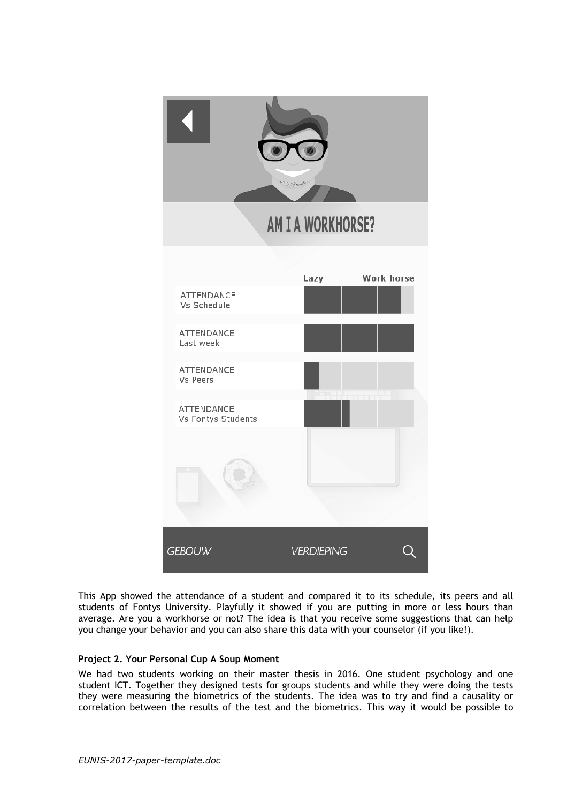

This App showed the attendance of a student and compared it to its schedule, its peers and all students of Fontys University. Playfully it showed if you are putting in more or less hours than average. Are you a workhorse or not? The idea is that you receive some suggestions that can help you change your behavior and you can also share this data with your counselor (if you like!).

## Project 2. Your Personal Cup A Soup Moment

We had two students working on their master thesis in 2016. One student psychology and one student ICT. Together they designed tests for groups students and while they were doing the tests they were measuring the biometrics of the students. The idea was to try and find a causality or correlation between the results of the test and the biometrics. This way it would be possible to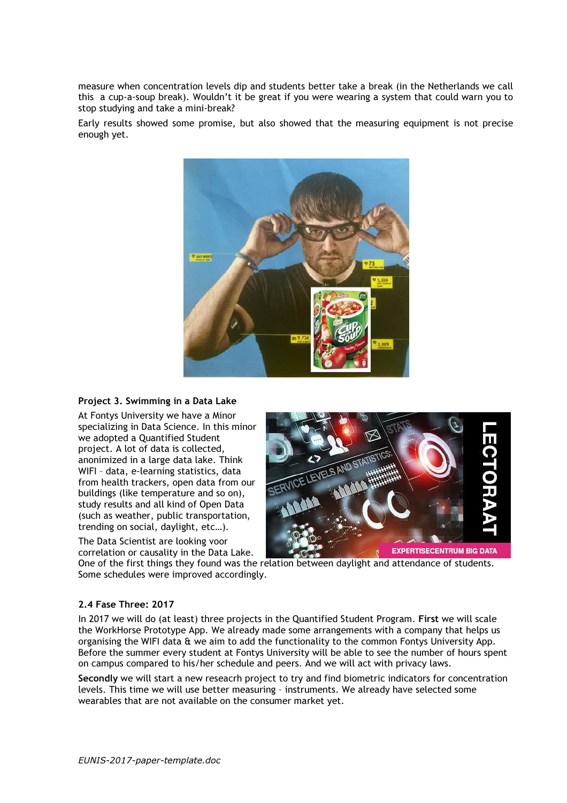measure when concentration levels dip and students better take a break (in the Netherlands we call this a cup-a-soup break). Wouldn't it be great if you were wearing a system that could warn you to stop studying and take a mini-break?

Early results showed some promise, but also showed that the measuring equipment is not precise enough yet.



## Project 3. Swimming in a Data Lake

At Fontys University we have a Minor specializing in Data Science. In this minor we adopted a Quantified Student project. A lot of data is collected, anonimized in a large data lake. Think WIFI – data, e-learning statistics, data from health trackers, open data from our buildings (like temperature and so on), study results and all kind of Open Data (such as weather, public transportation, trending on social, daylight, etc…).

The Data Scientist are looking voor correlation or causality in the Data Lake.



One of the first things they found was the relation between daylight and attendance of students. Some schedules were improved accordingly.

## 2.4 Fase Three: 2017

In 2017 we will do (at least) three projects in the Quantified Student Program. First we will scale the WorkHorse Prototype App. We already made some arrangements with a company that helps us organising the WIFI data & we aim to add the functionality to the common Fontys University App. Before the summer every student at Fontys University will be able to see the number of hours spent on campus compared to his/her schedule and peers. And we will act with privacy laws.

Secondly we will start a new reseacrh project to try and find biometric indicators for concentration levels. This time we will use better measuring – instruments. We already have selected some wearables that are not available on the consumer market yet.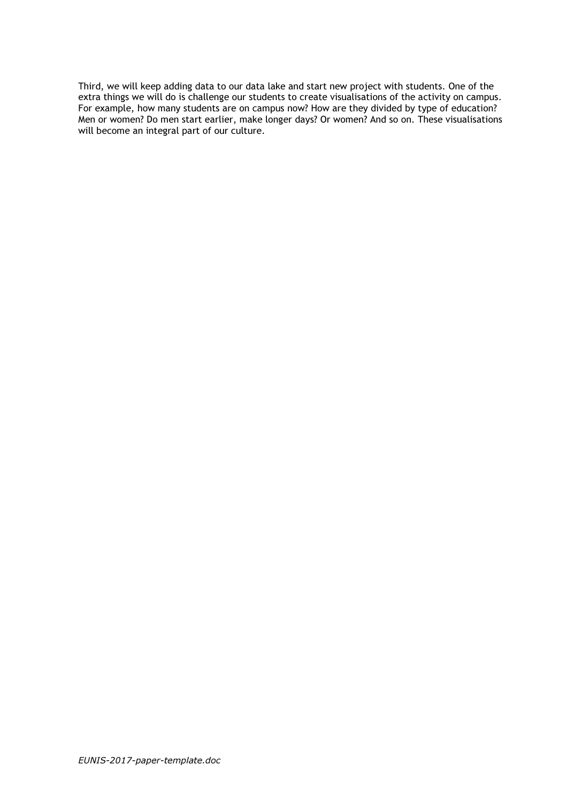Third, we will keep adding data to our data lake and start new project with students. One of the extra things we will do is challenge our students to create visualisations of the activity on campus. For example, how many students are on campus now? How are they divided by type of education? Men or women? Do men start earlier, make longer days? Or women? And so on. These visualisations will become an integral part of our culture.